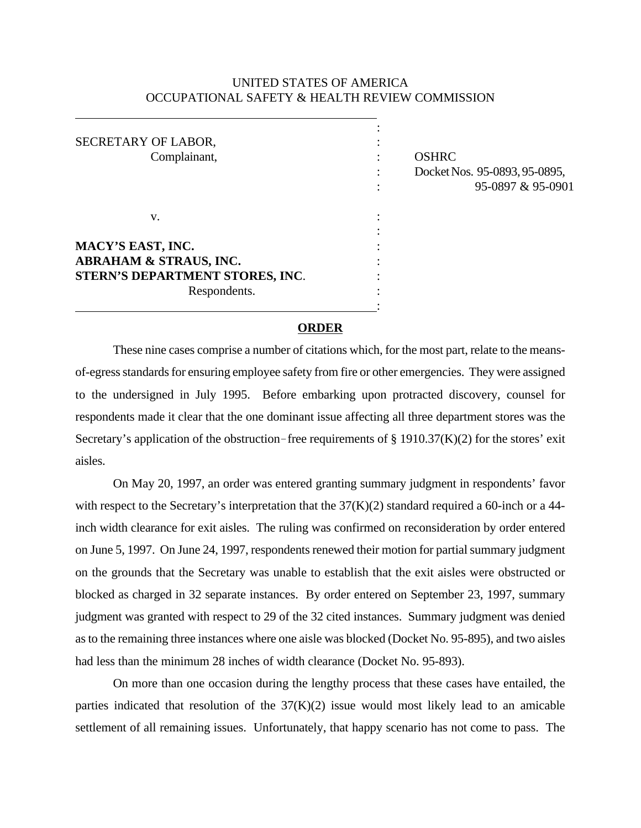# UNITED STATES OF AMERICA OCCUPATIONAL SAFETY & HEALTH REVIEW COMMISSION

| SECRETARY OF LABOR,<br>Complainant,                                                                       | <b>OSHRC</b><br>Docket Nos. 95-0893, 95-0895,<br>95-0897 & 95-0901 |  |
|-----------------------------------------------------------------------------------------------------------|--------------------------------------------------------------------|--|
| v.                                                                                                        |                                                                    |  |
| MACY'S EAST, INC.<br><b>ABRAHAM &amp; STRAUS, INC.</b><br>STERN'S DEPARTMENT STORES, INC.<br>Respondents. |                                                                    |  |

#### **ORDER**

These nine cases comprise a number of citations which, for the most part, relate to the meansof-egress standards for ensuring employee safety from fire or other emergencies. They were assigned to the undersigned in July 1995. Before embarking upon protracted discovery, counsel for respondents made it clear that the one dominant issue affecting all three department stores was the Secretary's application of the obstruction-free requirements of  $\S 1910.37(K)(2)$  for the stores' exit aisles.

On May 20, 1997, an order was entered granting summary judgment in respondents' favor with respect to the Secretary's interpretation that the  $37(K)(2)$  standard required a 60-inch or a 44inch width clearance for exit aisles. The ruling was confirmed on reconsideration by order entered on June 5, 1997. On June 24, 1997, respondents renewed their motion for partial summary judgment on the grounds that the Secretary was unable to establish that the exit aisles were obstructed or blocked as charged in 32 separate instances. By order entered on September 23, 1997, summary judgment was granted with respect to 29 of the 32 cited instances. Summary judgment was denied as to the remaining three instances where one aisle was blocked (Docket No. 95-895), and two aisles had less than the minimum 28 inches of width clearance (Docket No. 95-893).

On more than one occasion during the lengthy process that these cases have entailed, the parties indicated that resolution of the  $37(K)(2)$  issue would most likely lead to an amicable settlement of all remaining issues. Unfortunately, that happy scenario has not come to pass. The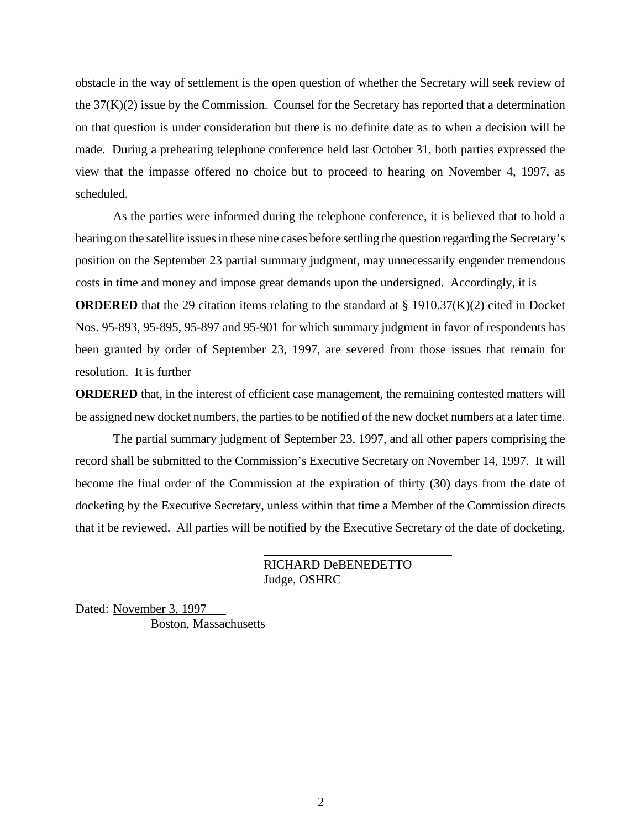obstacle in the way of settlement is the open question of whether the Secretary will seek review of the 37(K)(2) issue by the Commission. Counsel for the Secretary has reported that a determination on that question is under consideration but there is no definite date as to when a decision will be made. During a prehearing telephone conference held last October 31, both parties expressed the view that the impasse offered no choice but to proceed to hearing on November 4, 1997, as scheduled.

As the parties were informed during the telephone conference, it is believed that to hold a hearing on the satellite issues in these nine cases before settling the question regarding the Secretary's position on the September 23 partial summary judgment, may unnecessarily engender tremendous costs in time and money and impose great demands upon the undersigned. Accordingly, it is

**ORDERED** that the 29 citation items relating to the standard at  $\S$  1910.37(K)(2) cited in Docket Nos. 95-893, 95-895, 95-897 and 95-901 for which summary judgment in favor of respondents has been granted by order of September 23, 1997, are severed from those issues that remain for resolution. It is further

**ORDERED** that, in the interest of efficient case management, the remaining contested matters will be assigned new docket numbers, the parties to be notified of the new docket numbers at a later time.

The partial summary judgment of September 23, 1997, and all other papers comprising the record shall be submitted to the Commission's Executive Secretary on November 14, 1997. It will become the final order of the Commission at the expiration of thirty (30) days from the date of docketing by the Executive Secretary, unless within that time a Member of the Commission directs that it be reviewed. All parties will be notified by the Executive Secretary of the date of docketing.

> RICHARD DeBENEDETTO Judge, OSHRC

Dated: November 3, 1997 Boston, Massachusetts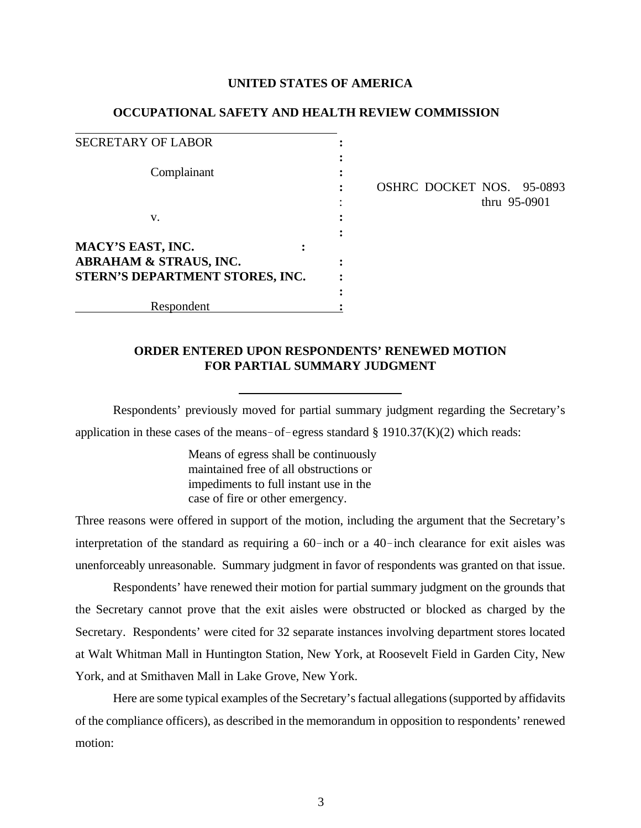#### **UNITED STATES OF AMERICA**

#### **OCCUPATIONAL SAFETY AND HEALTH REVIEW COMMISSION**

| <b>SECRETARY OF LABOR</b>         |  |
|-----------------------------------|--|
|                                   |  |
| Complainant                       |  |
|                                   |  |
|                                   |  |
| v.                                |  |
|                                   |  |
| MACY'S EAST, INC.                 |  |
| <b>ABRAHAM &amp; STRAUS, INC.</b> |  |
| STERN'S DEPARTMENT STORES, INC.   |  |
|                                   |  |
| Respondent                        |  |

**:** OSHRC DOCKET NOS. 95-0893 : thru 95-0901

# **ORDER ENTERED UPON RESPONDENTS' RENEWED MOTION FOR PARTIAL SUMMARY JUDGMENT**

Respondents' previously moved for partial summary judgment regarding the Secretary's application in these cases of the means-of-egress standard  $\S$  1910.37(K)(2) which reads:

> Means of egress shall be continuously maintained free of all obstructions or impediments to full instant use in the case of fire or other emergency.

Three reasons were offered in support of the motion, including the argument that the Secretary's interpretation of the standard as requiring a  $60$ -inch or a  $40$ -inch clearance for exit aisles was unenforceably unreasonable. Summary judgment in favor of respondents was granted on that issue.

Respondents' have renewed their motion for partial summary judgment on the grounds that the Secretary cannot prove that the exit aisles were obstructed or blocked as charged by the Secretary. Respondents' were cited for 32 separate instances involving department stores located at Walt Whitman Mall in Huntington Station, New York, at Roosevelt Field in Garden City, New York, and at Smithaven Mall in Lake Grove, New York.

Here are some typical examples of the Secretary's factual allegations (supported by affidavits of the compliance officers), as described in the memorandum in opposition to respondents' renewed motion: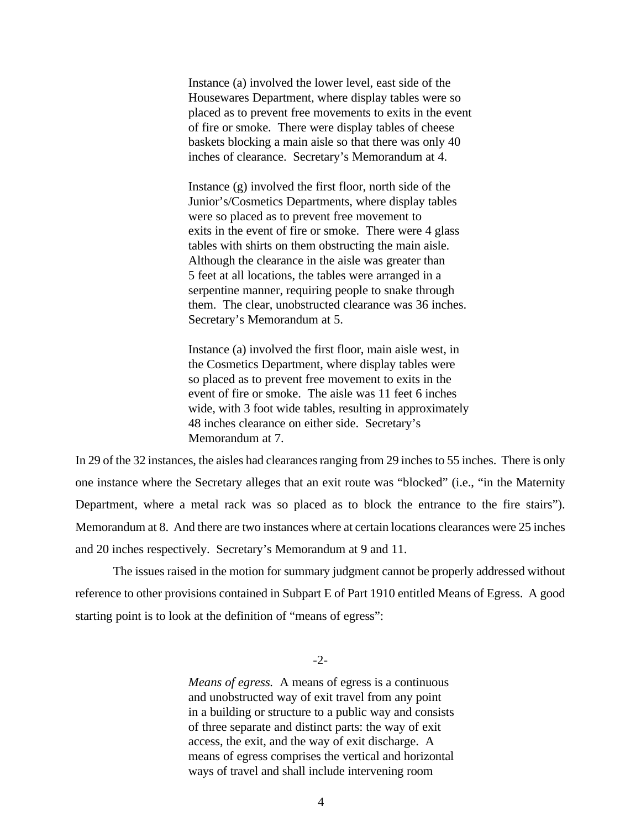Instance (a) involved the lower level, east side of the Housewares Department, where display tables were so placed as to prevent free movements to exits in the event of fire or smoke. There were display tables of cheese baskets blocking a main aisle so that there was only 40 inches of clearance. Secretary's Memorandum at 4.

Instance (g) involved the first floor, north side of the Junior's/Cosmetics Departments, where display tables were so placed as to prevent free movement to exits in the event of fire or smoke. There were 4 glass tables with shirts on them obstructing the main aisle. Although the clearance in the aisle was greater than 5 feet at all locations, the tables were arranged in a serpentine manner, requiring people to snake through them. The clear, unobstructed clearance was 36 inches. Secretary's Memorandum at 5.

Instance (a) involved the first floor, main aisle west, in the Cosmetics Department, where display tables were so placed as to prevent free movement to exits in the event of fire or smoke. The aisle was 11 feet 6 inches wide, with 3 foot wide tables, resulting in approximately 48 inches clearance on either side. Secretary's Memorandum at 7.

In 29 of the 32 instances, the aisles had clearances ranging from 29 inches to 55 inches. There is only one instance where the Secretary alleges that an exit route was "blocked" (i.e., "in the Maternity Department, where a metal rack was so placed as to block the entrance to the fire stairs"). Memorandum at 8. And there are two instances where at certain locations clearances were 25 inches and 20 inches respectively. Secretary's Memorandum at 9 and 11.

The issues raised in the motion for summary judgment cannot be properly addressed without reference to other provisions contained in Subpart E of Part 1910 entitled Means of Egress. A good starting point is to look at the definition of "means of egress":

 $-2$ 

*Means of egress.* A means of egress is a continuous and unobstructed way of exit travel from any point in a building or structure to a public way and consists of three separate and distinct parts: the way of exit access, the exit, and the way of exit discharge. A means of egress comprises the vertical and horizontal ways of travel and shall include intervening room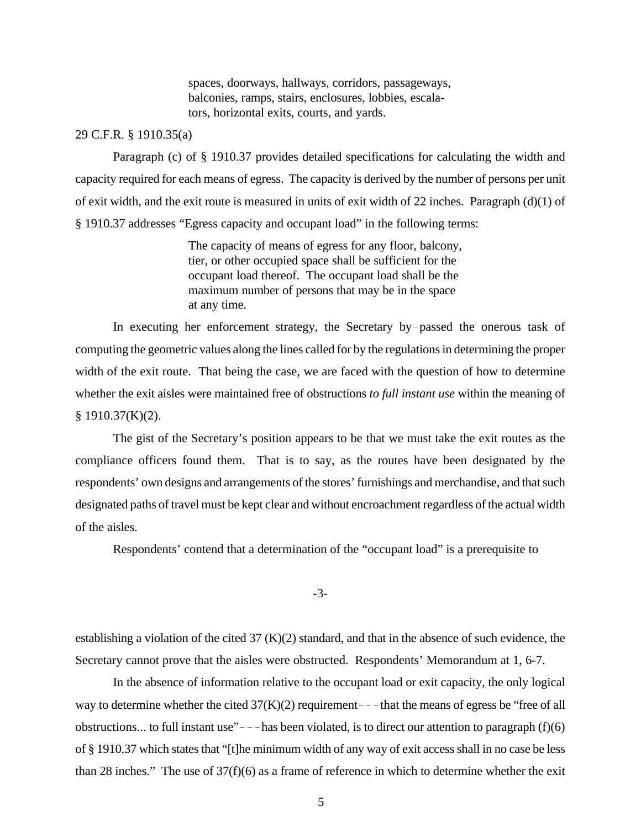spaces, doorways, hallways, corridors, passageways, balconies, ramps, stairs, enclosures, lobbies, escalators, horizontal exits, courts, and yards.

#### 29 C.F.R. § 1910.35(a)

Paragraph (c) of § 1910.37 provides detailed specifications for calculating the width and capacity required for each means of egress. The capacity is derived by the number of persons per unit of exit width, and the exit route is measured in units of exit width of 22 inches. Paragraph (d)(1) of § 1910.37 addresses "Egress capacity and occupant load" in the following terms:

> The capacity of means of egress for any floor, balcony, tier, or other occupied space shall be sufficient for the occupant load thereof. The occupant load shall be the maximum number of persons that may be in the space at any time.

In executing her enforcement strategy, the Secretary by-passed the onerous task of computing the geometric values along the lines called for by the regulations in determining the proper width of the exit route. That being the case, we are faced with the question of how to determine whether the exit aisles were maintained free of obstructions *to full instant use* within the meaning of  $§$  1910.37(K)(2).

The gist of the Secretary's position appears to be that we must take the exit routes as the compliance officers found them. That is to say, as the routes have been designated by the respondents' own designs and arrangements of the stores' furnishings and merchandise, and that such designated paths of travel must be kept clear and without encroachment regardless of the actual width of the aisles.

Respondents' contend that a determination of the "occupant load" is a prerequisite to

-3-

establishing a violation of the cited 37 (K)(2) standard, and that in the absence of such evidence, the Secretary cannot prove that the aisles were obstructed. Respondents' Memorandum at 1, 6-7.

In the absence of information relative to the occupant load or exit capacity, the only logical way to determine whether the cited  $37(K)(2)$  requirement---that the means of egress be "free of all obstructions... to full instant use"  $-$  - has been violated, is to direct our attention to paragraph (f)(6) of § 1910.37 which states that "[t]he minimum width of any way of exit access shall in no case be less than 28 inches." The use of 37(f)(6) as a frame of reference in which to determine whether the exit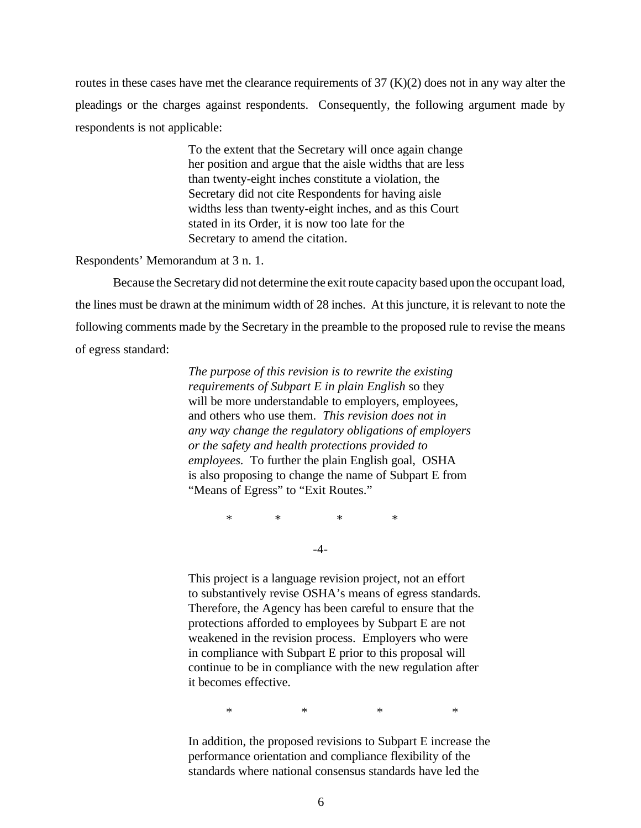routes in these cases have met the clearance requirements of 37 (K)(2) does not in any way alter the pleadings or the charges against respondents. Consequently, the following argument made by respondents is not applicable:

> To the extent that the Secretary will once again change her position and argue that the aisle widths that are less than twenty-eight inches constitute a violation, the Secretary did not cite Respondents for having aisle widths less than twenty-eight inches, and as this Court stated in its Order, it is now too late for the Secretary to amend the citation.

#### Respondents' Memorandum at 3 n. 1.

Because the Secretary did not determine the exit route capacity based upon the occupant load, the lines must be drawn at the minimum width of 28 inches. At this juncture, it is relevant to note the following comments made by the Secretary in the preamble to the proposed rule to revise the means of egress standard:

> *The purpose of this revision is to rewrite the existing requirements of Subpart E in plain English* so they will be more understandable to employers, employees, and others who use them. *This revision does not in any way change the regulatory obligations of employers or the safety and health protections provided to employees.* To further the plain English goal, OSHA is also proposing to change the name of Subpart E from "Means of Egress" to "Exit Routes."

> > \* \* \* \* -4-

This project is a language revision project, not an effort to substantively revise OSHA's means of egress standards. Therefore, the Agency has been careful to ensure that the protections afforded to employees by Subpart E are not weakened in the revision process. Employers who were in compliance with Subpart E prior to this proposal will continue to be in compliance with the new regulation after it becomes effective.

\* \* \* \*

In addition, the proposed revisions to Subpart E increase the performance orientation and compliance flexibility of the standards where national consensus standards have led the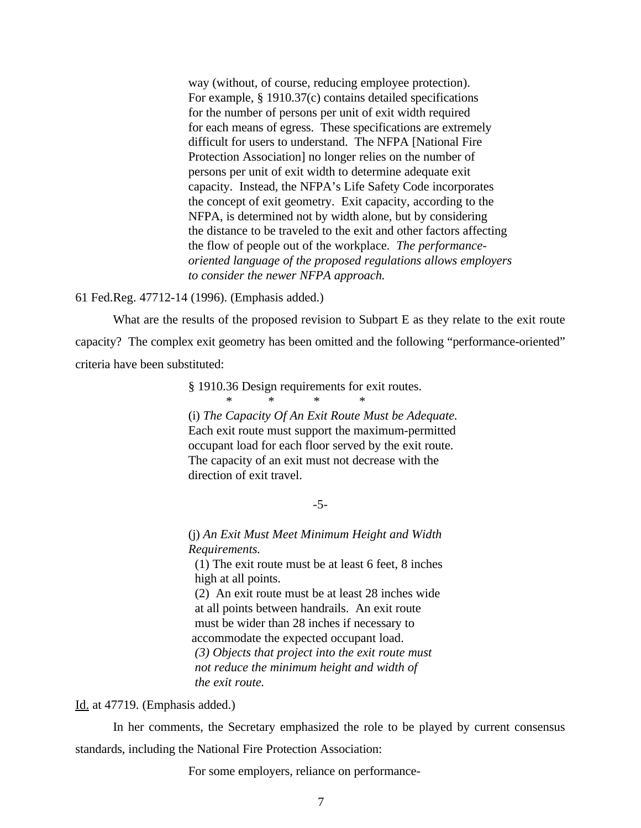way (without, of course, reducing employee protection). For example, § 1910.37(c) contains detailed specifications for the number of persons per unit of exit width required for each means of egress. These specifications are extremely difficult for users to understand. The NFPA [National Fire Protection Association] no longer relies on the number of persons per unit of exit width to determine adequate exit capacity. Instead, the NFPA's Life Safety Code incorporates the concept of exit geometry. Exit capacity, according to the NFPA, is determined not by width alone, but by considering the distance to be traveled to the exit and other factors affecting the flow of people out of the workplace. *The performanceoriented language of the proposed regulations allows employers to consider the newer NFPA approach.*

#### 61 Fed.Reg. 47712-14 (1996). (Emphasis added.)

What are the results of the proposed revision to Subpart E as they relate to the exit route capacity? The complex exit geometry has been omitted and the following "performance-oriented" criteria have been substituted:

> § 1910.36 Design requirements for exit routes.  $*$  \* \*

(i) *The Capacity Of An Exit Route Must be Adequate.* Each exit route must support the maximum-permitted occupant load for each floor served by the exit route. The capacity of an exit must not decrease with the direction of exit travel.

-5-

(j) *An Exit Must Meet Minimum Height and Width Requirements.* (1) The exit route must be at least 6 feet, 8 inches high at all points. (2) An exit route must be at least 28 inches wide at all points between handrails. An exit route must be wider than 28 inches if necessary to accommodate the expected occupant load. *(3) Objects that project into the exit route must not reduce the minimum height and width of the exit route.*

Id. at 47719. (Emphasis added.)

In her comments, the Secretary emphasized the role to be played by current consensus standards, including the National Fire Protection Association:

For some employers, reliance on performance-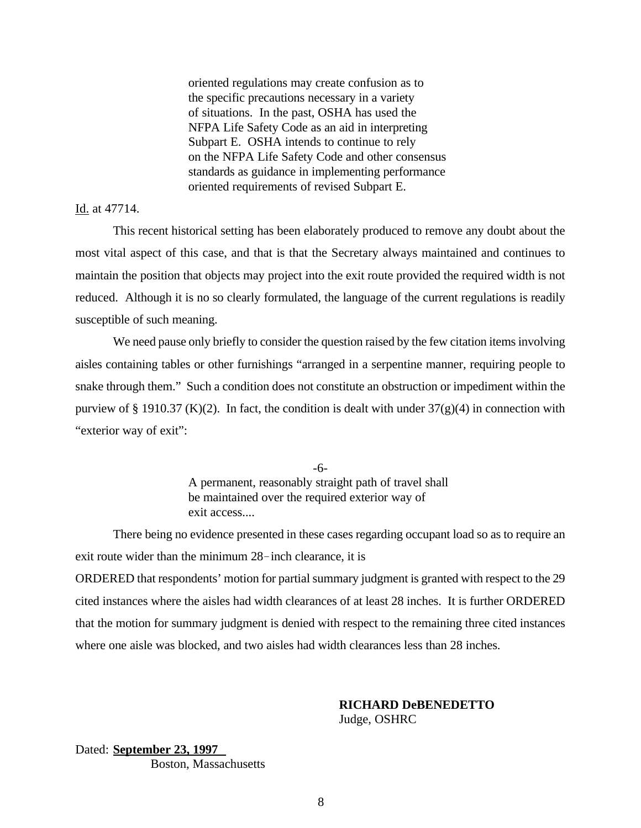oriented regulations may create confusion as to the specific precautions necessary in a variety of situations. In the past, OSHA has used the NFPA Life Safety Code as an aid in interpreting Subpart E. OSHA intends to continue to rely on the NFPA Life Safety Code and other consensus standards as guidance in implementing performance oriented requirements of revised Subpart E.

### Id. at 47714.

This recent historical setting has been elaborately produced to remove any doubt about the most vital aspect of this case, and that is that the Secretary always maintained and continues to maintain the position that objects may project into the exit route provided the required width is not reduced. Although it is no so clearly formulated, the language of the current regulations is readily susceptible of such meaning.

We need pause only briefly to consider the question raised by the few citation items involving aisles containing tables or other furnishings "arranged in a serpentine manner, requiring people to snake through them." Such a condition does not constitute an obstruction or impediment within the purview of § 1910.37 (K)(2). In fact, the condition is dealt with under  $37(g)(4)$  in connection with "exterior way of exit":

> -6- A permanent, reasonably straight path of travel shall be maintained over the required exterior way of exit access....

There being no evidence presented in these cases regarding occupant load so as to require an exit route wider than the minimum  $28$ -inch clearance, it is ORDERED that respondents' motion for partial summary judgment is granted with respect to the 29 cited instances where the aisles had width clearances of at least 28 inches. It is further ORDERED that the motion for summary judgment is denied with respect to the remaining three cited instances

where one aisle was blocked, and two aisles had width clearances less than 28 inches.

# **RICHARD DeBENEDETTO**

Judge, OSHRC

## Dated: **September 23, 1997** Boston, Massachusetts